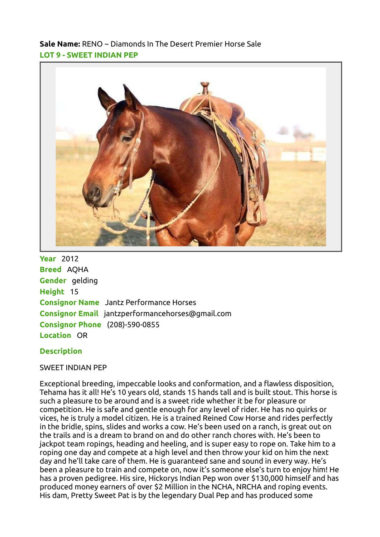Sale Name: RENO ~ Diamonds In The Desert Premier Horse Sale LOT 9 - SWEET INDIAN PEP



**Year** 2012 Breed AQHA Gender gelding Height 15 Consignor Name Jantz Performance Horses Consignor Email jantzperformancehorses@gmail.com Consignor Phone (208)-590-0855 Location OR

## **Description**

## SWEET INDIAN PEP

Exceptional breeding, impeccable looks and conformation, and a flawless disposition, Tehama has it all! He's 10 years old, stands 15 hands tall and is built stout. This horse is such a pleasure to be around and is a sweet ride whether it be for pleasure or competition. He is safe and gentle enough for any level of rider. He has no quirks or vices, he is truly a model citizen. He is a trained Reined Cow Horse and rides perfectly in the bridle, spins, slides and works a cow. He's been used on a ranch, is great out on the trails and is a dream to brand on and do other ranch chores with. He's been to jackpot team ropings, heading and heeling, and is super easy to rope on. Take him to a roping one day and compete at a high level and then throw your kid on him the next day and he'll take care of them. He is guaranteed sane and sound in every way. He's been a pleasure to train and compete on, now it's someone else's turn to enjoy him! He has a proven pedigree. His sire, Hickorys Indian Pep won over \$130,000 himself and has produced money earners of over \$2 Million in the NCHA, NRCHA and roping events. His dam, Pretty Sweet Pat is by the legendary Dual Pep and has produced some